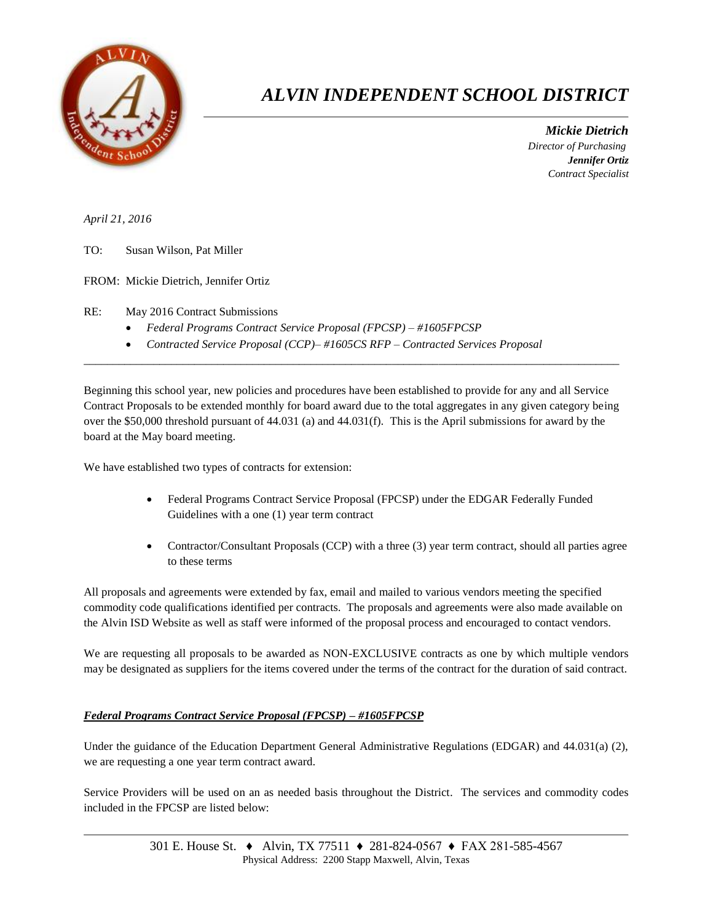

## *ALVIN INDEPENDENT SCHOOL DISTRICT*

 *Mickie Dietrich Director of Purchasing Jennifer Ortiz Contract Specialist*

*April 21, 2016*

TO: Susan Wilson, Pat Miller

FROM: Mickie Dietrich, Jennifer Ortiz

RE: May 2016 Contract Submissions

- *Federal Programs Contract Service Proposal (FPCSP) – #1605FPCSP*
- *Contracted Service Proposal (CCP)– #1605CS RFP – Contracted Services Proposal*

Beginning this school year, new policies and procedures have been established to provide for any and all Service Contract Proposals to be extended monthly for board award due to the total aggregates in any given category being over the \$50,000 threshold pursuant of 44.031 (a) and 44.031(f). This is the April submissions for award by the board at the May board meeting.

 $\overline{a_1}$  ,  $\overline{a_2}$  ,  $\overline{a_3}$  ,  $\overline{a_4}$  ,  $\overline{a_5}$  ,  $\overline{a_6}$  ,  $\overline{a_7}$  ,  $\overline{a_8}$  ,  $\overline{a_9}$  ,  $\overline{a_9}$  ,  $\overline{a_9}$  ,  $\overline{a_9}$  ,  $\overline{a_9}$  ,  $\overline{a_9}$  ,  $\overline{a_9}$  ,  $\overline{a_9}$  ,  $\overline{a_9}$  ,

We have established two types of contracts for extension:

- Federal Programs Contract Service Proposal (FPCSP) under the EDGAR Federally Funded Guidelines with a one (1) year term contract
- Contractor/Consultant Proposals (CCP) with a three (3) year term contract, should all parties agree to these terms

All proposals and agreements were extended by fax, email and mailed to various vendors meeting the specified commodity code qualifications identified per contracts. The proposals and agreements were also made available on the Alvin ISD Website as well as staff were informed of the proposal process and encouraged to contact vendors.

We are requesting all proposals to be awarded as NON-EXCLUSIVE contracts as one by which multiple vendors may be designated as suppliers for the items covered under the terms of the contract for the duration of said contract.

## *Federal Programs Contract Service Proposal (FPCSP) – #1605FPCSP*

Under the guidance of the Education Department General Administrative Regulations (EDGAR) and 44.031(a) (2), we are requesting a one year term contract award.

Service Providers will be used on an as needed basis throughout the District. The services and commodity codes included in the FPCSP are listed below: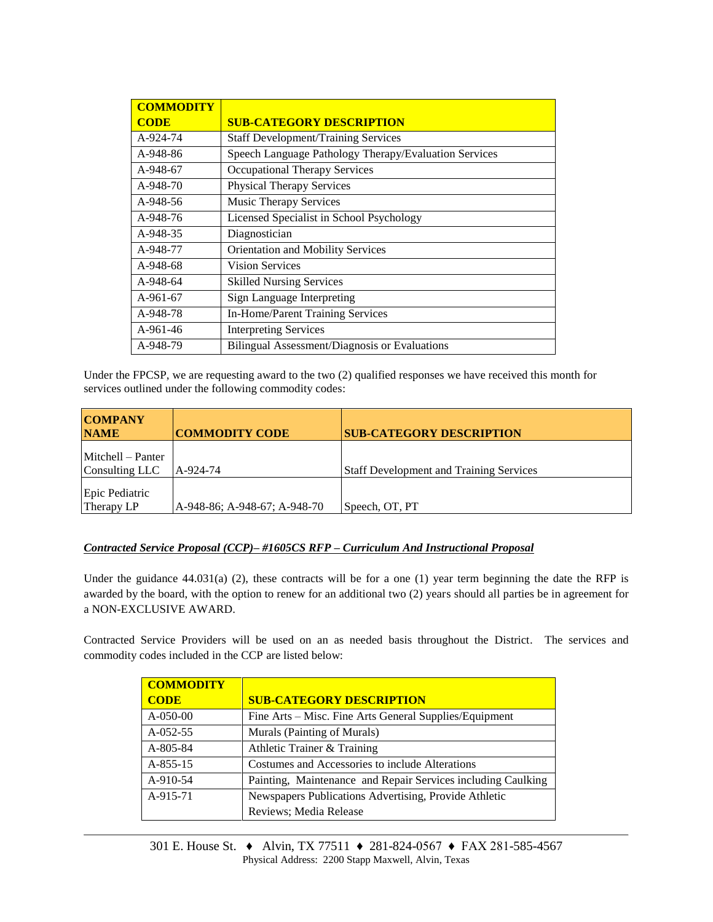| <b>COMMODITY</b> |                                                       |
|------------------|-------------------------------------------------------|
| <b>CODE</b>      | <b>SUB-CATEGORY DESCRIPTION</b>                       |
| A-924-74         | <b>Staff Development/Training Services</b>            |
| A-948-86         | Speech Language Pathology Therapy/Evaluation Services |
| A-948-67         | Occupational Therapy Services                         |
| A-948-70         | <b>Physical Therapy Services</b>                      |
| A-948-56         | <b>Music Therapy Services</b>                         |
| A-948-76         | Licensed Specialist in School Psychology              |
| A-948-35         | Diagnostician                                         |
| A-948-77         | Orientation and Mobility Services                     |
| A-948-68         | <b>Vision Services</b>                                |
| A-948-64         | <b>Skilled Nursing Services</b>                       |
| $A-961-67$       | <b>Sign Language Interpreting</b>                     |
| A-948-78         | In-Home/Parent Training Services                      |
| $A-961-46$       | <b>Interpreting Services</b>                          |
| A-948-79         | Bilingual Assessment/Diagnosis or Evaluations         |

Under the FPCSP, we are requesting award to the two (2) qualified responses we have received this month for services outlined under the following commodity codes:

| <b>COMPANY</b><br><b>NAME</b>       | <b>COMMODITY CODE</b>        | <b>SUB-CATEGORY DESCRIPTION</b>                |
|-------------------------------------|------------------------------|------------------------------------------------|
| Mitchell – Panter<br>Consulting LLC | LA-924-74                    | <b>Staff Development and Training Services</b> |
| Epic Pediatric<br>Therapy LP        | A-948-86; A-948-67; A-948-70 | Speech, OT, PT                                 |

## *Contracted Service Proposal (CCP)– #1605CS RFP – Curriculum And Instructional Proposal*

Under the guidance 44.031(a) (2), these contracts will be for a one (1) year term beginning the date the RFP is awarded by the board, with the option to renew for an additional two (2) years should all parties be in agreement for a NON-EXCLUSIVE AWARD.

Contracted Service Providers will be used on an as needed basis throughout the District. The services and commodity codes included in the CCP are listed below:

| <b>COMMODITY</b> |                                                              |
|------------------|--------------------------------------------------------------|
| <b>CODE</b>      | <b>SUB-CATEGORY DESCRIPTION</b>                              |
| $A-050-00$       | Fine Arts – Misc. Fine Arts General Supplies/Equipment       |
| $A-052-55$       | Murals (Painting of Murals)                                  |
| A-805-84         | Athletic Trainer & Training                                  |
| $A-855-15$       | Costumes and Accessories to include Alterations              |
| A-910-54         | Painting, Maintenance and Repair Services including Caulking |
| A-915-71         | Newspapers Publications Advertising, Provide Athletic        |
|                  | Reviews; Media Release                                       |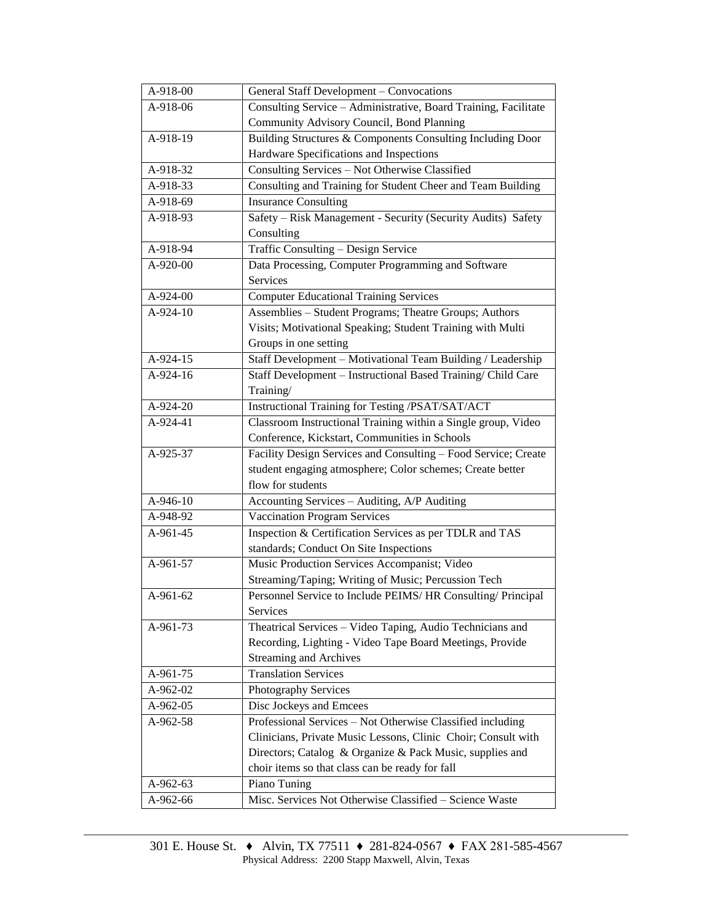| A-918-00   | General Staff Development - Convocations                        |  |  |
|------------|-----------------------------------------------------------------|--|--|
| A-918-06   | Consulting Service - Administrative, Board Training, Facilitate |  |  |
|            | Community Advisory Council, Bond Planning                       |  |  |
| A-918-19   | Building Structures & Components Consulting Including Door      |  |  |
|            | Hardware Specifications and Inspections                         |  |  |
| A-918-32   | Consulting Services - Not Otherwise Classified                  |  |  |
| A-918-33   | Consulting and Training for Student Cheer and Team Building     |  |  |
| A-918-69   | <b>Insurance Consulting</b>                                     |  |  |
| A-918-93   | Safety - Risk Management - Security (Security Audits) Safety    |  |  |
|            | Consulting                                                      |  |  |
| $A-918-94$ | Traffic Consulting - Design Service                             |  |  |
| A-920-00   | Data Processing, Computer Programming and Software              |  |  |
|            | Services                                                        |  |  |
| A-924-00   | <b>Computer Educational Training Services</b>                   |  |  |
| A-924-10   | Assemblies - Student Programs; Theatre Groups; Authors          |  |  |
|            | Visits; Motivational Speaking; Student Training with Multi      |  |  |
|            | Groups in one setting                                           |  |  |
| A-924-15   | Staff Development - Motivational Team Building / Leadership     |  |  |
| A-924-16   | Staff Development - Instructional Based Training/ Child Care    |  |  |
|            | Training/                                                       |  |  |
| A-924-20   | Instructional Training for Testing /PSAT/SAT/ACT                |  |  |
| A-924-41   | Classroom Instructional Training within a Single group, Video   |  |  |
|            | Conference, Kickstart, Communities in Schools                   |  |  |
| A-925-37   | Facility Design Services and Consulting - Food Service; Create  |  |  |
|            | student engaging atmosphere; Color schemes; Create better       |  |  |
|            | flow for students                                               |  |  |
| A-946-10   | Accounting Services - Auditing, A/P Auditing                    |  |  |
| A-948-92   | <b>Vaccination Program Services</b>                             |  |  |
| A-961-45   | Inspection & Certification Services as per TDLR and TAS         |  |  |
|            | standards; Conduct On Site Inspections                          |  |  |
| A-961-57   | Music Production Services Accompanist; Video                    |  |  |
|            | Streaming/Taping; Writing of Music; Percussion Tech             |  |  |
| A-961-62   | Personnel Service to Include PEIMS/HR Consulting/ Principal     |  |  |
|            | Services                                                        |  |  |
| A-961-73   | Theatrical Services - Video Taping, Audio Technicians and       |  |  |
|            | Recording, Lighting - Video Tape Board Meetings, Provide        |  |  |
|            | <b>Streaming and Archives</b>                                   |  |  |
| $A-961-75$ | <b>Translation Services</b>                                     |  |  |
| A-962-02   | Photography Services                                            |  |  |
| A-962-05   | Disc Jockeys and Emcees                                         |  |  |
| A-962-58   | Professional Services - Not Otherwise Classified including      |  |  |
|            | Clinicians, Private Music Lessons, Clinic Choir; Consult with   |  |  |
|            | Directors; Catalog & Organize & Pack Music, supplies and        |  |  |
|            | choir items so that class can be ready for fall                 |  |  |
| A-962-63   | Piano Tuning                                                    |  |  |
| A-962-66   | Misc. Services Not Otherwise Classified - Science Waste         |  |  |